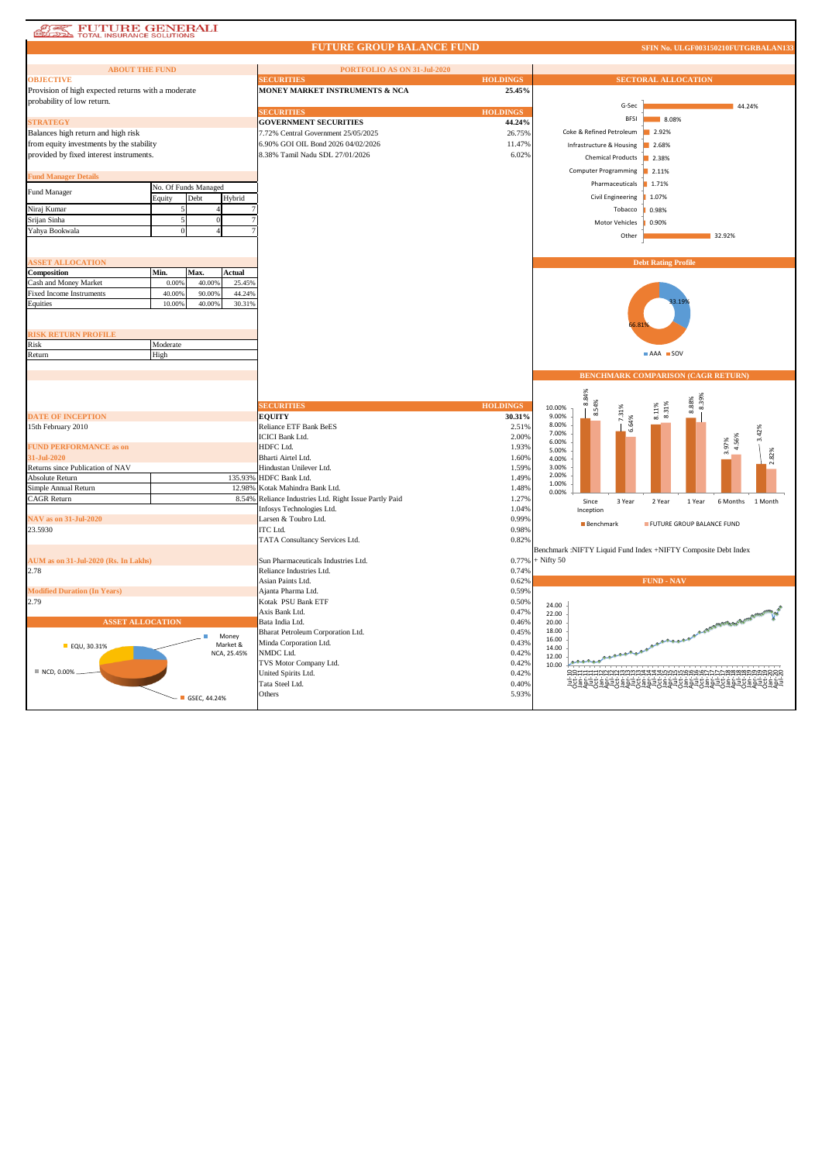| <b>EVITURE GENERALI</b><br>DE TOTAL INSURANCE SOLUTIONS |
|---------------------------------------------------------|
|---------------------------------------------------------|

43

## **FUTURE GROUP BALANCE FUND**

| <b>ABOUT THE FUND</b>                              |                      |              |                   | PORTFOLIO AS ON 31-Jul-2020                      |                           |                 |                              |                                                                |       |
|----------------------------------------------------|----------------------|--------------|-------------------|--------------------------------------------------|---------------------------|-----------------|------------------------------|----------------------------------------------------------------|-------|
| <b>OBJECTIVE</b>                                   |                      |              |                   | <b>SECURITIES</b>                                | <b>HOLDINGS</b>           |                 |                              | <b>SECTORAL ALLOCATION</b>                                     |       |
| Provision of high expected returns with a moderate |                      |              |                   | MONEY MARKET INSTRUMENTS & NCA                   | 25.45%                    |                 |                              |                                                                |       |
| probability of low return.                         |                      |              |                   |                                                  |                           |                 | G-Sec                        | 44.24%                                                         |       |
|                                                    |                      |              |                   | <b>SECURITIES</b>                                | <b>HOLDINGS</b>           |                 | <b>BFSI</b>                  | 8.08%                                                          |       |
| <b>STRATEGY</b>                                    |                      |              |                   | <b>GOVERNMENT SECURITIES</b>                     | 44.24%                    |                 |                              |                                                                |       |
| Balances high return and high risk                 |                      |              |                   | 7.72% Central Government 25/05/2025              | 26.75%                    |                 | Coke & Refined Petroleum     | 2.92%                                                          |       |
| from equity investments by the stability           |                      |              |                   | 6.90% GOI OIL Bond 2026 04/02/2026               | 11.47%                    |                 | Infrastructure & Housing     | 2.68%                                                          |       |
| provided by fixed interest instruments.            |                      |              |                   | 8.38% Tamil Nadu SDL 27/01/2026                  | 6.02%                     |                 | <b>Chemical Products</b>     | 2.38%                                                          |       |
|                                                    |                      |              |                   |                                                  |                           |                 |                              |                                                                |       |
| <b>Fund Manager Details</b>                        |                      |              |                   |                                                  |                           |                 | <b>Computer Programming</b>  | 2.11%                                                          |       |
|                                                    | No. Of Funds Managed |              |                   |                                                  |                           |                 | Pharmaceuticals              | ■ 1.71%                                                        |       |
| Fund Manager                                       | Equity               | Debt         | Hybrid            |                                                  |                           |                 | Civil Engineering            | 1.07%                                                          |       |
| Niraj Kumar                                        |                      |              |                   |                                                  |                           |                 | Tobacco                      | 0.98%                                                          |       |
| Srijan Sinha                                       |                      | $\theta$     |                   |                                                  |                           |                 | Motor Vehicles               | 0.90%                                                          |       |
| Yahya Bookwala                                     |                      |              |                   |                                                  |                           |                 |                              |                                                                |       |
|                                                    |                      |              |                   |                                                  |                           |                 | Other                        | 32.92%                                                         |       |
|                                                    |                      |              |                   |                                                  |                           |                 |                              |                                                                |       |
| <b>SSET ALLOCATION</b>                             |                      |              |                   |                                                  |                           |                 |                              | <b>Debt Rating Profile</b>                                     |       |
| Composition                                        | Min.                 | Max.         | Actual            |                                                  |                           |                 |                              |                                                                |       |
| Cash and Money Market                              | 0.00%                | 40.009       | 25.45%            |                                                  |                           |                 |                              |                                                                |       |
| <b>Fixed Income Instruments</b>                    | 40,00%               | 90.00%       | 44.24%            |                                                  |                           |                 |                              |                                                                |       |
| Equities                                           | 10.009               | 40.00%       | 30.31%            |                                                  |                           |                 |                              |                                                                |       |
|                                                    |                      |              |                   |                                                  |                           |                 |                              |                                                                |       |
|                                                    |                      |              |                   |                                                  |                           |                 |                              |                                                                |       |
| <b>RISK RETURN PROFILE</b>                         |                      |              |                   |                                                  |                           |                 |                              |                                                                |       |
| Risk                                               | Moderate             |              |                   |                                                  |                           |                 |                              |                                                                |       |
| Return                                             | High                 |              |                   |                                                  |                           |                 |                              | AAA SOV                                                        |       |
|                                                    |                      |              |                   |                                                  |                           |                 |                              |                                                                |       |
|                                                    |                      |              |                   |                                                  |                           |                 |                              | BENCHMARK COMPARISON (CAGR RETURN)                             |       |
|                                                    |                      |              |                   |                                                  |                           |                 |                              |                                                                |       |
|                                                    |                      |              |                   |                                                  |                           |                 |                              |                                                                |       |
|                                                    |                      |              |                   |                                                  |                           |                 |                              |                                                                |       |
|                                                    |                      |              |                   | <b>SECURITIES</b>                                |                           |                 | 8.84%                        |                                                                |       |
| <b>DATE OF INCEPTION</b>                           |                      |              |                   | <b>EQUITY</b>                                    | <b>HOLDINGS</b><br>30.31% | 10.00%<br>9.00% | 8.54%                        | 8.39%<br>8.88%<br>8.31%                                        |       |
| 15th February 2010                                 |                      |              |                   | <b>Reliance ETF Bank BeES</b>                    | 2.51%                     | 8.00%           | 7.31%                        | 8.11%                                                          |       |
|                                                    |                      |              |                   | <b>ICICI Bank Ltd.</b>                           | 2.00%                     | 7.00%           | 6.64%                        |                                                                |       |
| <b>FUND PERFORMANCE as on</b>                      |                      |              |                   | HDFC Ltd.                                        | 1.93%                     | 6.00%           |                              | 4.56%                                                          |       |
| 31-Jul-2020                                        |                      |              |                   | Bharti Airtel Ltd.                               | 1.60%                     | 5.00%<br>4.00%  |                              | 3.97%                                                          |       |
| Returns since Publication of NAV                   |                      |              |                   | Hindustan Unilever Ltd.                          | 1.59%                     | 3.00%           |                              |                                                                | 2.82% |
| Absolute Return                                    |                      |              | 135.939           | HDFC Bank Ltd.                                   | 1.49%                     | 2.00%           |                              |                                                                |       |
| Simple Annual Return                               |                      |              | 12.989            | Kotak Mahindra Bank Ltd.                         | 1.48%                     | 1.00%           |                              |                                                                |       |
| <b>CAGR Return</b>                                 |                      |              | 8.549             | Reliance Industries Ltd. Right Issue Partly Paid | 1.27%                     | 0.00%           |                              |                                                                |       |
|                                                    |                      |              |                   | Infosys Technologies Ltd.                        | 1.04%                     |                 | Since<br>3 Year<br>Inception | 6 Months 1 Month<br>2 Year<br>1 Year                           |       |
| <b>NAV</b> as on 31-Jul-2020                       |                      |              |                   | Larsen & Toubro Ltd.                             | 0.99%                     |                 |                              |                                                                |       |
| 23.5930                                            |                      |              |                   | <b>ITC</b> Ltd.                                  | 0.98%                     |                 | Benchmark                    | FUTURE GROUP BALANCE FUND                                      |       |
|                                                    |                      |              |                   | TATA Consultancy Services Ltd.                   | 0.82%                     |                 |                              |                                                                |       |
|                                                    |                      |              |                   |                                                  |                           |                 |                              | Benchmark :NIFTY Liquid Fund Index +NIFTY Composite Debt Index |       |
| AUM as on 31-Jul-2020 (Rs. In Lakhs)               |                      |              |                   | Sun Pharmaceuticals Industries Ltd.              | 0.77%                     | $+$ Nifty 50    |                              |                                                                |       |
| 2.78                                               |                      |              |                   | Reliance Industries Ltd.                         | 0.74%                     |                 |                              |                                                                |       |
|                                                    |                      |              |                   | Asian Paints Ltd.                                | 0.62%                     |                 |                              | <b>FUND - NAV</b>                                              |       |
| <b>Modified Duration (In Years)</b>                |                      |              |                   | Ajanta Pharma Ltd.                               | 0.59%                     |                 |                              |                                                                |       |
| 2.79                                               |                      |              |                   | Kotak PSU Bank ETF                               | 0.50%                     | 24.00           |                              |                                                                |       |
|                                                    |                      |              |                   | Axis Bank Ltd.                                   | 0.47%                     | 22.00           |                              |                                                                |       |
| <b>ASSET ALLOCATION</b>                            |                      |              |                   | Bata India Ltd.                                  | 0.46%                     | 20.00           |                              |                                                                |       |
|                                                    |                      |              |                   | Bharat Petroleum Corporation Ltd.                | 0.45%                     | 18.00           |                              | A CONTRACTORIES CALIFORNIA                                     |       |
| ■ EQU, 30.31%                                      |                      |              | Money<br>Market & | Minda Corporation Ltd.                           | 0.43%                     | 16.00           |                              |                                                                |       |
|                                                    |                      |              | NCA, 25.45%       | NMDC Ltd.                                        | 0.42%                     | 14.00<br>12.00  |                              |                                                                |       |
|                                                    |                      |              |                   | TVS Motor Company Ltd.                           | 0.42%                     | 10.00           |                              |                                                                |       |
| NCD, 0.00%                                         |                      |              |                   | United Spirits Ltd.                              | 0.42%                     |                 |                              |                                                                |       |
|                                                    |                      |              |                   | Tata Steel Ltd.                                  | 0.40%                     |                 |                              |                                                                |       |
|                                                    |                      | GSEC, 44.24% |                   | Others                                           | 5.93%                     |                 |                              |                                                                |       |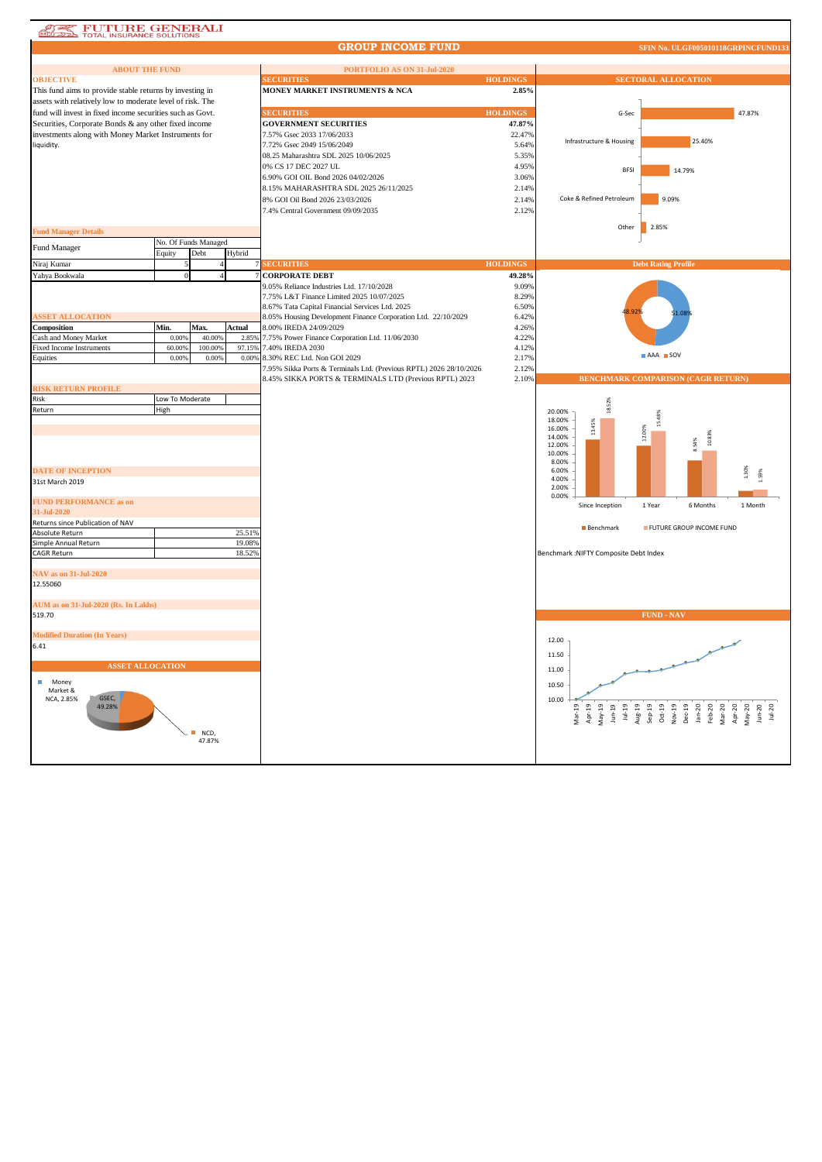| FUTURE GENERALI<br><b>LERE REEL</b><br><b>TOTAL INSURANCE SOLUTIONS</b>                                           |                 |                      |                  |                                                                                                         |                 |                                                                                                                                                                                                       |
|-------------------------------------------------------------------------------------------------------------------|-----------------|----------------------|------------------|---------------------------------------------------------------------------------------------------------|-----------------|-------------------------------------------------------------------------------------------------------------------------------------------------------------------------------------------------------|
|                                                                                                                   |                 |                      |                  | <b>GROUP INCOME FUND</b>                                                                                |                 | SFIN No. ULGF005010118GRPINCFUND133                                                                                                                                                                   |
| <b>ABOUT THE FUND</b>                                                                                             |                 |                      |                  | PORTFOLIO AS ON 31-Jul-2020                                                                             |                 |                                                                                                                                                                                                       |
| <b>OBJECTIVE</b>                                                                                                  |                 |                      |                  | <b>SECURITIES</b>                                                                                       | <b>HOLDINGS</b> | <b>SECTORAL ALLOCATION</b>                                                                                                                                                                            |
| This fund aims to provide stable returns by investing in                                                          |                 |                      |                  | MONEY MARKET INSTRUMENTS & NCA                                                                          | 2.85%           |                                                                                                                                                                                                       |
| assets with relatively low to moderate level of risk. The                                                         |                 |                      |                  |                                                                                                         |                 |                                                                                                                                                                                                       |
| fund will invest in fixed income securities such as Govt.<br>Securities, Corporate Bonds & any other fixed income |                 |                      |                  | <b>SECURITIES</b>                                                                                       | <b>HOLDINGS</b> | G-Sec<br>47.87%                                                                                                                                                                                       |
|                                                                                                                   |                 |                      |                  | <b>GOVERNMENT SECURITIES</b>                                                                            | 47.87%          |                                                                                                                                                                                                       |
| investments along with Money Market Instruments for<br>liquidity.                                                 |                 |                      |                  | 7.57% Gsec 2033 17/06/2033<br>7.72% Gsec 2049 15/06/2049                                                | 22.47%<br>5.64% | 25.40%<br>Infrastructure & Housing                                                                                                                                                                    |
|                                                                                                                   |                 |                      |                  | 08.25 Maharashtra SDL 2025 10/06/2025                                                                   | 5.35%           |                                                                                                                                                                                                       |
|                                                                                                                   |                 |                      |                  | 0% CS 17 DEC 2027 UL                                                                                    | 4.95%           | 14.79%<br><b>BFSI</b>                                                                                                                                                                                 |
|                                                                                                                   |                 |                      |                  | 6.90% GOI OIL Bond 2026 04/02/2026                                                                      | 3.06%           |                                                                                                                                                                                                       |
|                                                                                                                   |                 |                      |                  | 8.15% MAHARASHTRA SDL 2025 26/11/2025                                                                   | 2.14%           |                                                                                                                                                                                                       |
|                                                                                                                   |                 |                      |                  | 8% GOI Oil Bond 2026 23/03/2026                                                                         | 2.14%           | 9.09%<br>Coke & Refined Petroleum                                                                                                                                                                     |
|                                                                                                                   |                 |                      |                  | 7.4% Central Government 09/09/2035                                                                      | 2.12%           |                                                                                                                                                                                                       |
| <b>Fund Manager Details</b>                                                                                       |                 |                      |                  |                                                                                                         |                 | 2.85%<br>Other                                                                                                                                                                                        |
|                                                                                                                   |                 | No. Of Funds Managed |                  |                                                                                                         |                 |                                                                                                                                                                                                       |
| <b>Fund Manager</b>                                                                                               | Equity          | Debt                 | Hybrid           |                                                                                                         |                 |                                                                                                                                                                                                       |
| Niraj Kumar                                                                                                       |                 |                      |                  | <b>SECURITIES</b>                                                                                       | <b>HOLDINGS</b> | <b>Debt Rating Profile</b>                                                                                                                                                                            |
| Yahya Bookwala                                                                                                    | $\Omega$        |                      |                  | <b>CORPORATE DEBT</b>                                                                                   | 49.28%          |                                                                                                                                                                                                       |
|                                                                                                                   |                 |                      |                  | 9.05% Reliance Industries Ltd. 17/10/2028<br>7.75% L&T Finance Limited 2025 10/07/2025                  | 9.09%<br>8.29%  |                                                                                                                                                                                                       |
|                                                                                                                   |                 |                      |                  | 8.67% Tata Capital Financial Services Ltd. 2025                                                         | 6.50%           |                                                                                                                                                                                                       |
| <b>SSET ALLOCATION</b>                                                                                            |                 |                      |                  | 8.05% Housing Development Finance Corporation Ltd. 22/10/2029                                           | 6.42%           | 3.929<br>51.089                                                                                                                                                                                       |
| Composition                                                                                                       | Min.            | Max.                 | Actual           | 8.00% IREDA 24/09/2029                                                                                  | 4.26%           |                                                                                                                                                                                                       |
| Cash and Money Market                                                                                             | 0.00%           | 40.00%               | 2.85%            | 7.75% Power Finance Corporation Ltd. 11/06/2030                                                         | 4.22%           |                                                                                                                                                                                                       |
| <b>Fixed Income Instruments</b>                                                                                   | 60.009          | 100.00%              | 97.15%           | 7.40% IREDA 2030                                                                                        | 4.12%           | AAA SOV                                                                                                                                                                                               |
| Equities                                                                                                          | 0.009           | 0.00%                |                  | 0.00% 8.30% REC Ltd. Non GOI 2029<br>7.95% Sikka Ports & Terminals Ltd. (Previous RPTL) 2026 28/10/2026 | 2.17%<br>2.12%  |                                                                                                                                                                                                       |
|                                                                                                                   |                 |                      |                  | 8.45% SIKKA PORTS & TERMINALS LTD (Previous RPTL) 2023                                                  | 2.10%           | <b>BENCHMARK COMPARISON (CAGR RETURN)</b>                                                                                                                                                             |
| <b>RISK RETURN PROFILE</b>                                                                                        |                 |                      |                  |                                                                                                         |                 |                                                                                                                                                                                                       |
| Risk                                                                                                              | Low To Moderate |                      |                  |                                                                                                         |                 | 18.52%                                                                                                                                                                                                |
| Return                                                                                                            | High            |                      |                  |                                                                                                         |                 | 20.00%<br>18.00%                                                                                                                                                                                      |
|                                                                                                                   |                 |                      |                  |                                                                                                         |                 | 13.45%<br>ğ<br>16.00%                                                                                                                                                                                 |
|                                                                                                                   |                 |                      |                  |                                                                                                         |                 | 12.00%<br>10.83%<br>14.00%<br>8.54%                                                                                                                                                                   |
|                                                                                                                   |                 |                      |                  |                                                                                                         |                 | 12.00%<br>10.00%                                                                                                                                                                                      |
|                                                                                                                   |                 |                      |                  |                                                                                                         |                 | 8.00%                                                                                                                                                                                                 |
| <b>DATE OF INCEPTION</b>                                                                                          |                 |                      |                  |                                                                                                         |                 | 1.30%<br>6.00%<br>4.00%                                                                                                                                                                               |
| 31st March 2019                                                                                                   |                 |                      |                  |                                                                                                         |                 | 2.00%                                                                                                                                                                                                 |
| <b>FUND PERFORMANCE as on</b>                                                                                     |                 |                      |                  |                                                                                                         |                 | 0.00%<br>Since Inception<br>1 Year<br>6 Months<br>1 Month                                                                                                                                             |
| 31-Jul-2020                                                                                                       |                 |                      |                  |                                                                                                         |                 |                                                                                                                                                                                                       |
| Returns since Publication of NAV                                                                                  |                 |                      |                  |                                                                                                         |                 | <b>Benchmark</b><br>FUTURE GROUP INCOME FUND                                                                                                                                                          |
| Absolute Return<br>Simple Annual Return                                                                           |                 |                      | 25.51%<br>19.08% |                                                                                                         |                 |                                                                                                                                                                                                       |
| <b>CAGR Return</b>                                                                                                |                 |                      | 18.52%           |                                                                                                         |                 | Benchmark : NIFTY Composite Debt Index                                                                                                                                                                |
|                                                                                                                   |                 |                      |                  |                                                                                                         |                 |                                                                                                                                                                                                       |
| <b>NAV</b> as on 31-Jul-2020                                                                                      |                 |                      |                  |                                                                                                         |                 |                                                                                                                                                                                                       |
| 12.55060                                                                                                          |                 |                      |                  |                                                                                                         |                 |                                                                                                                                                                                                       |
| AUM as on 31-Jul-2020 (Rs. In Lakhs)                                                                              |                 |                      |                  |                                                                                                         |                 |                                                                                                                                                                                                       |
| 519.70                                                                                                            |                 |                      |                  |                                                                                                         |                 | <b>FUND - NAV</b>                                                                                                                                                                                     |
|                                                                                                                   |                 |                      |                  |                                                                                                         |                 |                                                                                                                                                                                                       |
| <b>Modified Duration (In Years)</b><br>.41                                                                        |                 |                      |                  |                                                                                                         |                 | 12.00                                                                                                                                                                                                 |
|                                                                                                                   |                 |                      |                  |                                                                                                         |                 | 11.50                                                                                                                                                                                                 |
|                                                                                                                   |                 |                      |                  |                                                                                                         |                 |                                                                                                                                                                                                       |
| <b>ASSET ALLOCATION</b>                                                                                           |                 |                      |                  |                                                                                                         |                 |                                                                                                                                                                                                       |
|                                                                                                                   |                 |                      |                  |                                                                                                         |                 | 11.00                                                                                                                                                                                                 |
| Money<br>Market &                                                                                                 |                 |                      |                  |                                                                                                         |                 | 10.50                                                                                                                                                                                                 |
| GSEC,<br>NCA, 2.85%<br>49.28%                                                                                     |                 |                      |                  |                                                                                                         |                 | 10.00                                                                                                                                                                                                 |
|                                                                                                                   |                 |                      |                  |                                                                                                         |                 | $1u+19$                                                                                                                                                                                               |
|                                                                                                                   |                 |                      |                  |                                                                                                         |                 | Apr-20<br>Apr-19<br>May-19<br>Aug-19<br>Sep-19<br>Oct-19<br>$Nov-19$<br>$Dec-19$<br>Feb-20<br>$\frac{30}{100}$<br>$\frac{30}{100}$<br>$\frac{30}{100}$<br>Mar-19<br>$J$ un-19<br>$Jan-20$<br>$Mar-20$ |
|                                                                                                                   |                 | NCD,<br>47.87%       |                  |                                                                                                         |                 |                                                                                                                                                                                                       |
|                                                                                                                   |                 |                      |                  |                                                                                                         |                 |                                                                                                                                                                                                       |